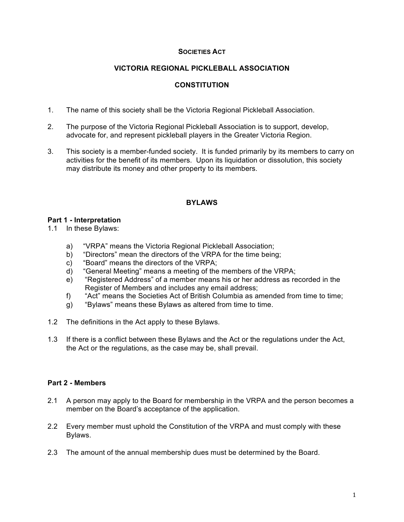#### **SOCIETIES ACT**

## **VICTORIA REGIONAL PICKLEBALL ASSOCIATION**

# **CONSTITUTION**

- 1. The name of this society shall be the Victoria Regional Pickleball Association.
- 2. The purpose of the Victoria Regional Pickleball Association is to support, develop, advocate for, and represent pickleball players in the Greater Victoria Region.
- 3. This society is a member-funded society. It is funded primarily by its members to carry on activities for the benefit of its members. Upon its liquidation or dissolution, this society may distribute its money and other property to its members.

## **BYLAWS**

#### **Part 1 - Interpretation**

- 1.1 In these Bylaws:
	- a) "VRPA" means the Victoria Regional Pickleball Association;
	- b) "Directors" mean the directors of the VRPA for the time being;
	- c) "Board" means the directors of the VRPA;
	- d) "General Meeting" means a meeting of the members of the VRPA;
	- e) "Registered Address" of a member means his or her address as recorded in the Register of Members and includes any email address;
	- f) "Act" means the Societies Act of British Columbia as amended from time to time;
	- g) "Bylaws" means these Bylaws as altered from time to time.
- 1.2 The definitions in the Act apply to these Bylaws.
- 1.3 If there is a conflict between these Bylaws and the Act or the regulations under the Act, the Act or the regulations, as the case may be, shall prevail.

#### **Part 2 - Members**

- 2.1 A person may apply to the Board for membership in the VRPA and the person becomes a member on the Board's acceptance of the application.
- 2.2 Every member must uphold the Constitution of the VRPA and must comply with these Bylaws.
- 2.3 The amount of the annual membership dues must be determined by the Board.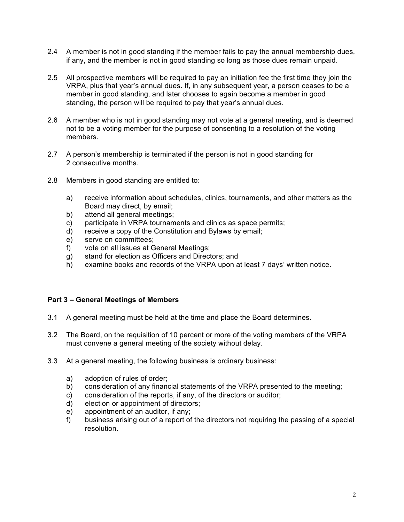- 2.4 A member is not in good standing if the member fails to pay the annual membership dues, if any, and the member is not in good standing so long as those dues remain unpaid.
- 2.5 All prospective members will be required to pay an initiation fee the first time they join the VRPA, plus that year's annual dues. If, in any subsequent year, a person ceases to be a member in good standing, and later chooses to again become a member in good standing, the person will be required to pay that year's annual dues.
- 2.6 A member who is not in good standing may not vote at a general meeting, and is deemed not to be a voting member for the purpose of consenting to a resolution of the voting members.
- 2.7 A person's membership is terminated if the person is not in good standing for 2 consecutive months.
- 2.8 Members in good standing are entitled to:
	- a) receive information about schedules, clinics, tournaments, and other matters as the Board may direct, by email;
	- b) attend all general meetings;
	- c) participate in VRPA tournaments and clinics as space permits;
	- d) receive a copy of the Constitution and Bylaws by email;
	- e) serve on committees;
	- f) vote on all issues at General Meetings;
	- g) stand for election as Officers and Directors; and
	- h) examine books and records of the VRPA upon at least 7 days' written notice.

## **Part 3 – General Meetings of Members**

- 3.1 A general meeting must be held at the time and place the Board determines.
- 3.2 The Board, on the requisition of 10 percent or more of the voting members of the VRPA must convene a general meeting of the society without delay.
- 3.3 At a general meeting, the following business is ordinary business:
	- a) adoption of rules of order;
	- b) consideration of any financial statements of the VRPA presented to the meeting;
	- c) consideration of the reports, if any, of the directors or auditor;
	- d) election or appointment of directors;
	- e) appointment of an auditor, if any;
	- f) business arising out of a report of the directors not requiring the passing of a special resolution.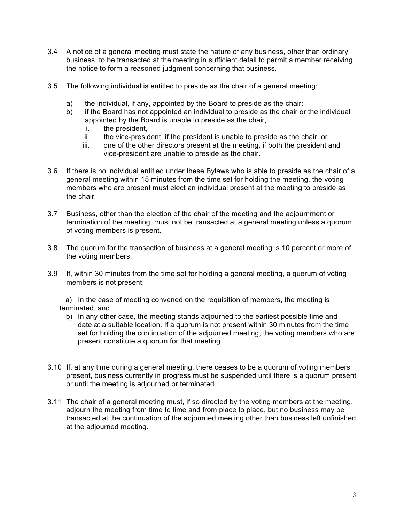- 3.4 A notice of a general meeting must state the nature of any business, other than ordinary business, to be transacted at the meeting in sufficient detail to permit a member receiving the notice to form a reasoned judgment concerning that business.
- 3.5 The following individual is entitled to preside as the chair of a general meeting:
	- a) the individual, if any, appointed by the Board to preside as the chair;
	- b) if the Board has not appointed an individual to preside as the chair or the individual appointed by the Board is unable to preside as the chair,
		- i. the president,
		- ii. the vice-president, if the president is unable to preside as the chair, or
		- iii. one of the other directors present at the meeting, if both the president and vice-president are unable to preside as the chair.
- 3.6 If there is no individual entitled under these Bylaws who is able to preside as the chair of a general meeting within 15 minutes from the time set for holding the meeting, the voting members who are present must elect an individual present at the meeting to preside as the chair.
- 3.7 Business, other than the election of the chair of the meeting and the adjournment or termination of the meeting, must not be transacted at a general meeting unless a quorum of voting members is present.
- 3.8 The quorum for the transaction of business at a general meeting is 10 percent or more of the voting members.
- 3.9 If, within 30 minutes from the time set for holding a general meeting, a quorum of voting members is not present,

 a) In the case of meeting convened on the requisition of members, the meeting is terminated, and

- b) In any other case, the meeting stands adjourned to the earliest possible time and date at a suitable location. If a quorum is not present within 30 minutes from the time set for holding the continuation of the adjourned meeting, the voting members who are present constitute a quorum for that meeting.
- 3.10 If, at any time during a general meeting, there ceases to be a quorum of voting members present, business currently in progress must be suspended until there is a quorum present or until the meeting is adjourned or terminated.
- 3.11 The chair of a general meeting must, if so directed by the voting members at the meeting, adjourn the meeting from time to time and from place to place, but no business may be transacted at the continuation of the adjourned meeting other than business left unfinished at the adjourned meeting.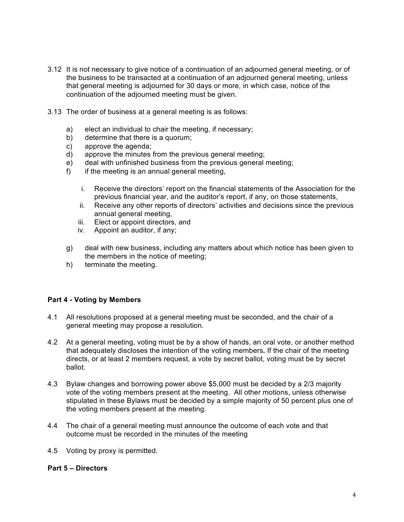- 3.12 It is not necessary to give notice of a continuation of an adjourned general meeting, or of the business to be transacted at a continuation of an adjourned general meeting, unless that general meeting is adjourned for 30 days or more, in which case, notice of the continuation of the adjourned meeting must be given.
- 3.13 The order of business at a general meeting is as follows:
	- a) elect an individual to chair the meeting, if necessary;
	- b) determine that there is a quorum;
	- c) approve the agenda;
	- d) approve the minutes from the previous general meeting;
	- e) deal with unfinished business from the previous general meeting;
	- $f$  if the meeting is an annual general meeting,
		- i. Receive the directors' report on the financial statements of the Association for the previous financial year, and the auditor's report, if any, on those statements,
		- ii. Receive any other reports of directors' activities and decisions since the previous annual general meeting,
		- iii. Elect or appoint directors, and
		- iv. Appoint an auditor, if any;
	- g) deal with new business, including any matters about which notice has been given to the members in the notice of meeting;
	- h) terminate the meeting.

#### **Part 4 - Voting by Members**

- 4.1 All resolutions proposed at a general meeting must be seconded, and the chair of a general meeting may propose a resolution.
- 4.2 At a general meeting, voting must be by a show of hands, an oral vote, or another method that adequately discloses the intention of the voting members**.** If the chair of the meeting directs, or at least 2 members request, a vote by secret ballot, voting must be by secret ballot.
- 4.3 Bylaw changes and borrowing power above \$5,000 must be decided by a 2/3 majority vote of the voting members present at the meeting. All other motions, unless otherwise stipulated in these Bylaws must be decided by a simple majority of 50 percent plus one of the voting members present at the meeting.
- 4.4 The chair of a general meeting must announce the outcome of each vote and that outcome must be recorded in the minutes of the meeting
- 4.5 Voting by proxy is permitted.

#### **Part 5 – Directors**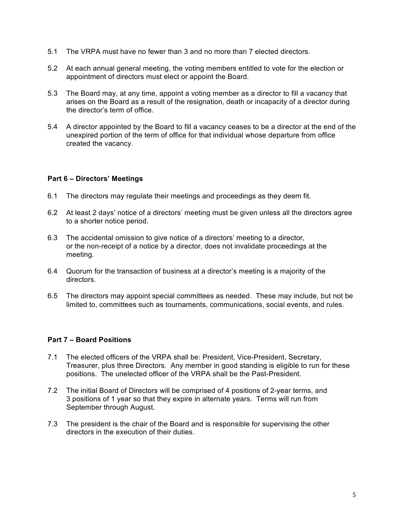- 5.1 The VRPA must have no fewer than 3 and no more than 7 elected directors.
- 5.2 At each annual general meeting, the voting members entitled to vote for the election or appointment of directors must elect or appoint the Board.
- 5.3 The Board may, at any time, appoint a voting member as a director to fill a vacancy that arises on the Board as a result of the resignation, death or incapacity of a director during the director's term of office.
- 5.4 A director appointed by the Board to fill a vacancy ceases to be a director at the end of the unexpired portion of the term of office for that individual whose departure from office created the vacancy.

## **Part 6 – Directors' Meetings**

- 6.1 The directors may regulate their meetings and proceedings as they deem fit.
- 6.2 At least 2 days' notice of a directors' meeting must be given unless all the directors agree to a shorter notice period.
- 6.3 The accidental omission to give notice of a directors' meeting to a director, or the non-receipt of a notice by a director, does not invalidate proceedings at the meeting.
- 6.4 Quorum for the transaction of business at a director's meeting is a majority of the directors.
- 6.5 The directors may appoint special committees as needed. These may include, but not be limited to, committees such as tournaments, communications, social events, and rules.

# **Part 7 – Board Positions**

- 7.1 The elected officers of the VRPA shall be: President, Vice-President, Secretary, Treasurer, plus three Directors. Any member in good standing is eligible to run for these positions. The unelected officer of the VRPA shall be the Past-President.
- 7.2 The initial Board of Directors will be comprised of 4 positions of 2-year terms, and 3 positions of 1 year so that they expire in alternate years. Terms will run from September through August.
- 7.3 The president is the chair of the Board and is responsible for supervising the other directors in the execution of their duties.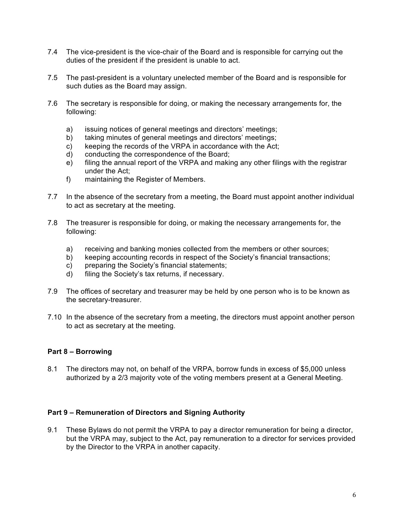- 7.4 The vice-president is the vice-chair of the Board and is responsible for carrying out the duties of the president if the president is unable to act.
- 7.5 The past-president is a voluntary unelected member of the Board and is responsible for such duties as the Board may assign.
- 7.6 The secretary is responsible for doing, or making the necessary arrangements for, the following:
	- a) issuing notices of general meetings and directors' meetings;
	- b) taking minutes of general meetings and directors' meetings;
	- c) keeping the records of the VRPA in accordance with the Act;
	- d) conducting the correspondence of the Board;
	- e) filing the annual report of the VRPA and making any other filings with the registrar under the Act;
	- f) maintaining the Register of Members.
- 7.7 In the absence of the secretary from a meeting, the Board must appoint another individual to act as secretary at the meeting.
- 7.8 The treasurer is responsible for doing, or making the necessary arrangements for, the following:
	- a) receiving and banking monies collected from the members or other sources;
	- b) keeping accounting records in respect of the Society's financial transactions;
	- c) preparing the Society's financial statements;
	- d) filing the Society's tax returns, if necessary.
- 7.9 The offices of secretary and treasurer may be held by one person who is to be known as the secretary-treasurer.
- 7.10 In the absence of the secretary from a meeting, the directors must appoint another person to act as secretary at the meeting.

## **Part 8 – Borrowing**

8.1 The directors may not, on behalf of the VRPA, borrow funds in excess of \$5,000 unless authorized by a 2/3 majority vote of the voting members present at a General Meeting.

## **Part 9 – Remuneration of Directors and Signing Authority**

9.1 These Bylaws do not permit the VRPA to pay a director remuneration for being a director, but the VRPA may, subject to the Act, pay remuneration to a director for services provided by the Director to the VRPA in another capacity.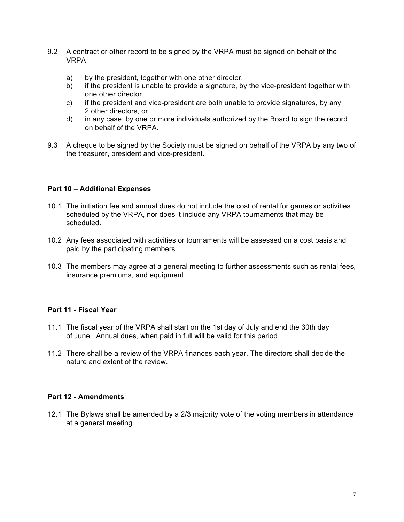- 9.2 A contract or other record to be signed by the VRPA must be signed on behalf of the VRPA
	- a) by the president, together with one other director,
	- b) if the president is unable to provide a signature, by the vice-president together with one other director,
	- c) if the president and vice-president are both unable to provide signatures, by any 2 other directors, or
	- d) in any case, by one or more individuals authorized by the Board to sign the record on behalf of the VRPA.
- 9.3 A cheque to be signed by the Society must be signed on behalf of the VRPA by any two of the treasurer, president and vice-president.

## **Part 10 – Additional Expenses**

- 10.1 The initiation fee and annual dues do not include the cost of rental for games or activities scheduled by the VRPA, nor does it include any VRPA tournaments that may be scheduled.
- 10.2 Any fees associated with activities or tournaments will be assessed on a cost basis and paid by the participating members.
- 10.3 The members may agree at a general meeting to further assessments such as rental fees, insurance premiums, and equipment.

## **Part 11 - Fiscal Year**

- 11.1 The fiscal year of the VRPA shall start on the 1st day of July and end the 30th day of June. Annual dues, when paid in full will be valid for this period.
- 11.2 There shall be a review of the VRPA finances each year. The directors shall decide the nature and extent of the review.

#### **Part 12 - Amendments**

12.1 The Bylaws shall be amended by a 2/3 majority vote of the voting members in attendance at a general meeting.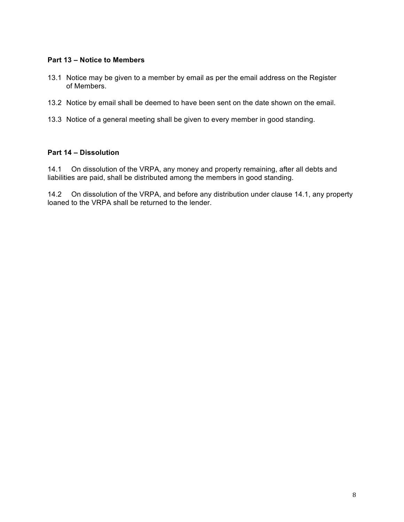## **Part 13 – Notice to Members**

- 13.1 Notice may be given to a member by email as per the email address on the Register of Members.
- 13.2 Notice by email shall be deemed to have been sent on the date shown on the email.
- 13.3 Notice of a general meeting shall be given to every member in good standing.

## **Part 14 – Dissolution**

14.1 On dissolution of the VRPA, any money and property remaining, after all debts and liabilities are paid, shall be distributed among the members in good standing.

14.2 On dissolution of the VRPA, and before any distribution under clause 14.1, any property loaned to the VRPA shall be returned to the lender.